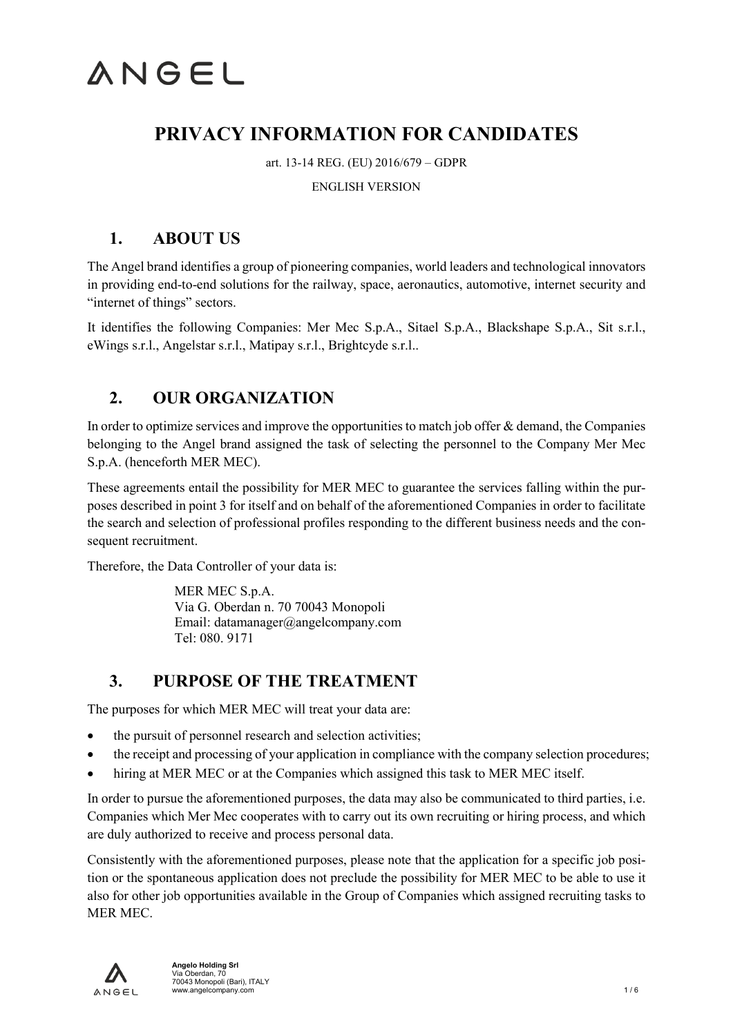## **PRIVACY INFORMATION FOR CANDIDATES**

art. 13-14 REG. (EU) 2016/679 – GDPR

#### ENGLISH VERSION

## **1. ABOUT US**

The Angel brand identifies a group of pioneering companies, world leaders and technological innovators in providing end-to-end solutions for the railway, space, aeronautics, automotive, internet security and "internet of things" sectors.

It identifies the following Companies: Mer Mec S.p.A., Sitael S.p.A., Blackshape S.p.A., Sit s.r.l., eWings s.r.l., Angelstar s.r.l., Matipay s.r.l., Brightcyde s.r.l..

## **2. OUR ORGANIZATION**

In order to optimize services and improve the opportunities to match job offer & demand, the Companies belonging to the Angel brand assigned the task of selecting the personnel to the Company Mer Mec S.p.A. (henceforth MER MEC).

These agreements entail the possibility for MER MEC to guarantee the services falling within the purposes described in point 3 for itself and on behalf of the aforementioned Companies in order to facilitate the search and selection of professional profiles responding to the different business needs and the consequent recruitment.

Therefore, the Data Controller of your data is:

MER MEC S.p.A. Via G. Oberdan n. 70 70043 Monopoli Email: datamanager@angelcompany.com Tel: 080. 9171

### **3. PURPOSE OF THE TREATMENT**

The purposes for which MER MEC will treat your data are:

- the pursuit of personnel research and selection activities;
- the receipt and processing of your application in compliance with the company selection procedures;
- hiring at MER MEC or at the Companies which assigned this task to MER MEC itself.

In order to pursue the aforementioned purposes, the data may also be communicated to third parties, i.e. Companies which Mer Mec cooperates with to carry out its own recruiting or hiring process, and which are duly authorized to receive and process personal data.

Consistently with the aforementioned purposes, please note that the application for a specific job position or the spontaneous application does not preclude the possibility for MER MEC to be able to use it also for other job opportunities available in the Group of Companies which assigned recruiting tasks to MER MEC.

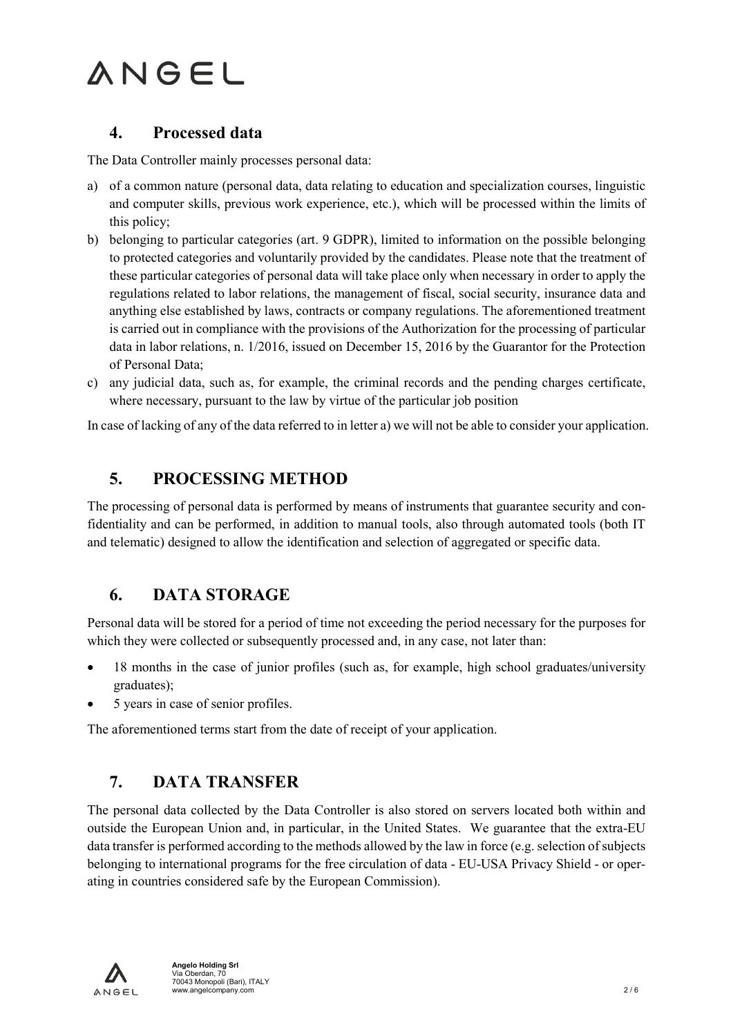### **4. Processed data**

The Data Controller mainly processes personal data:

- a) of a common nature (personal data, data relating to education and specialization courses, linguistic and computer skills, previous work experience, etc.), which will be processed within the limits of this policy;
- b) belonging to particular categories (art. 9 GDPR), limited to information on the possible belonging to protected categories and voluntarily provided by the candidates. Please note that the treatment of these particular categories of personal data will take place only when necessary in order to apply the regulations related to labor relations, the management of fiscal, social security, insurance data and anything else established by laws, contracts or company regulations. The aforementioned treatment is carried out in compliance with the provisions of the Authorization for the processing of particular data in labor relations, n. 1/2016, issued on December 15, 2016 by the Guarantor for the Protection of Personal Data;
- c) any judicial data, such as, for example, the criminal records and the pending charges certificate, where necessary, pursuant to the law by virtue of the particular job position

In case of lacking of any of the data referred to in letter a) we will not be able to consider your application.

### **5. PROCESSING METHOD**

The processing of personal data is performed by means of instruments that guarantee security and confidentiality and can be performed, in addition to manual tools, also through automated tools (both IT and telematic) designed to allow the identification and selection of aggregated or specific data.

## **6. DATA STORAGE**

Personal data will be stored for a period of time not exceeding the period necessary for the purposes for which they were collected or subsequently processed and, in any case, not later than:

- 18 months in the case of junior profiles (such as, for example, high school graduates/university graduates);
- 5 years in case of senior profiles.

The aforementioned terms start from the date of receipt of your application.

## **7. DATA TRANSFER**

The personal data collected by the Data Controller is also stored on servers located both within and outside the European Union and, in particular, in the United States. We guarantee that the extra-EU data transfer is performed according to the methods allowed by the law in force (e.g. selection of subjects belonging to international programs for the free circulation of data - EU-USA Privacy Shield - or operating in countries considered safe by the European Commission).

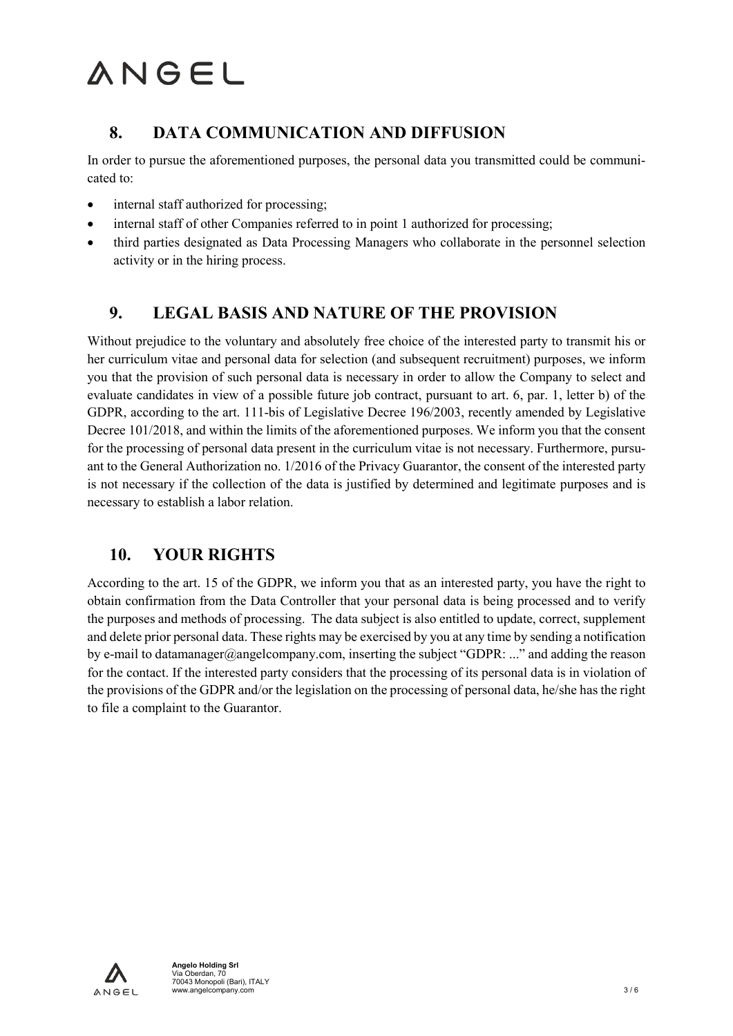## **8. DATA COMMUNICATION AND DIFFUSION**

In order to pursue the aforementioned purposes, the personal data you transmitted could be communicated to:

- internal staff authorized for processing;
- internal staff of other Companies referred to in point 1 authorized for processing;
- third parties designated as Data Processing Managers who collaborate in the personnel selection activity or in the hiring process.

## **9. LEGAL BASIS AND NATURE OF THE PROVISION**

Without prejudice to the voluntary and absolutely free choice of the interested party to transmit his or her curriculum vitae and personal data for selection (and subsequent recruitment) purposes, we inform you that the provision of such personal data is necessary in order to allow the Company to select and evaluate candidates in view of a possible future job contract, pursuant to art. 6, par. 1, letter b) of the GDPR, according to the art. 111-bis of Legislative Decree 196/2003, recently amended by Legislative Decree 101/2018, and within the limits of the aforementioned purposes. We inform you that the consent for the processing of personal data present in the curriculum vitae is not necessary. Furthermore, pursuant to the General Authorization no. 1/2016 of the Privacy Guarantor, the consent of the interested party is not necessary if the collection of the data is justified by determined and legitimate purposes and is necessary to establish a labor relation.

## **10. YOUR RIGHTS**

According to the art. 15 of the GDPR, we inform you that as an interested party, you have the right to obtain confirmation from the Data Controller that your personal data is being processed and to verify the purposes and methods of processing. The data subject is also entitled to update, correct, supplement and delete prior personal data. These rights may be exercised by you at any time by sending a notification by e-mail to datamanager@angelcompany.com, inserting the subject "GDPR: ..." and adding the reason for the contact. If the interested party considers that the processing of its personal data is in violation of the provisions of the GDPR and/or the legislation on the processing of personal data, he/she has the right to file a complaint to the Guarantor.

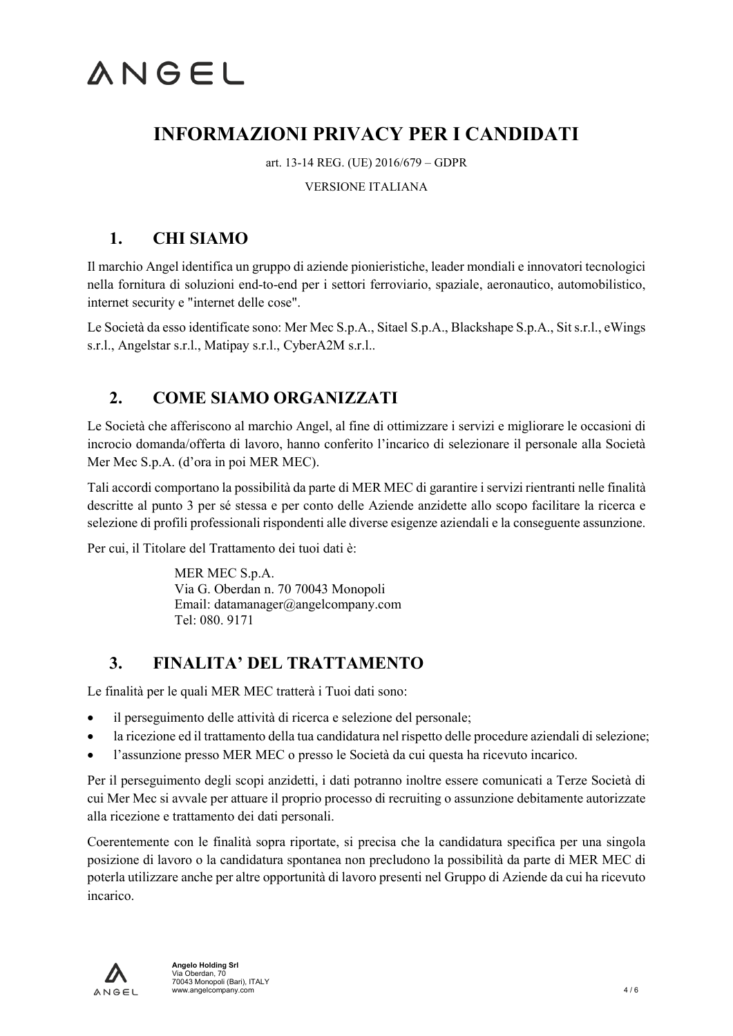## **INFORMAZIONI PRIVACY PER I CANDIDATI**

art. 13-14 REG. (UE) 2016/679 – GDPR

#### VERSIONE ITALIANA

## **1. CHI SIAMO**

Il marchio Angel identifica un gruppo di aziende pionieristiche, leader mondiali e innovatori tecnologici nella fornitura di soluzioni end-to-end per i settori ferroviario, spaziale, aeronautico, automobilistico, internet security e "internet delle cose".

Le Società da esso identificate sono: Mer Mec S.p.A., Sitael S.p.A., Blackshape S.p.A., Sit s.r.l., eWings s.r.l., Angelstar s.r.l., Matipay s.r.l., CyberA2M s.r.l..

## **2. COME SIAMO ORGANIZZATI**

Le Società che afferiscono al marchio Angel, al fine di ottimizzare i servizi e migliorare le occasioni di incrocio domanda/offerta di lavoro, hanno conferito l'incarico di selezionare il personale alla Società Mer Mec S.p.A. (d'ora in poi MER MEC).

Tali accordi comportano la possibilità da parte di MER MEC di garantire i servizi rientranti nelle finalità descritte al punto 3 per sé stessa e per conto delle Aziende anzidette allo scopo facilitare la ricerca e selezione di profili professionali rispondenti alle diverse esigenze aziendali e la conseguente assunzione.

Per cui, il Titolare del Trattamento dei tuoi dati è:

MER MEC S.p.A. Via G. Oberdan n. 70 70043 Monopoli Email: datamanager@angelcompany.com Tel: 080. 9171

## **3. FINALITA' DEL TRATTAMENTO**

Le finalità per le quali MER MEC tratterà i Tuoi dati sono:

- il perseguimento delle attività di ricerca e selezione del personale;
- la ricezione ed il trattamento della tua candidatura nel rispetto delle procedure aziendali di selezione;
- l'assunzione presso MER MEC o presso le Società da cui questa ha ricevuto incarico.

Per il perseguimento degli scopi anzidetti, i dati potranno inoltre essere comunicati a Terze Società di cui Mer Mec si avvale per attuare il proprio processo di recruiting o assunzione debitamente autorizzate alla ricezione e trattamento dei dati personali.

Coerentemente con le finalità sopra riportate, si precisa che la candidatura specifica per una singola posizione di lavoro o la candidatura spontanea non precludono la possibilità da parte di MER MEC di poterla utilizzare anche per altre opportunità di lavoro presenti nel Gruppo di Aziende da cui ha ricevuto incarico.

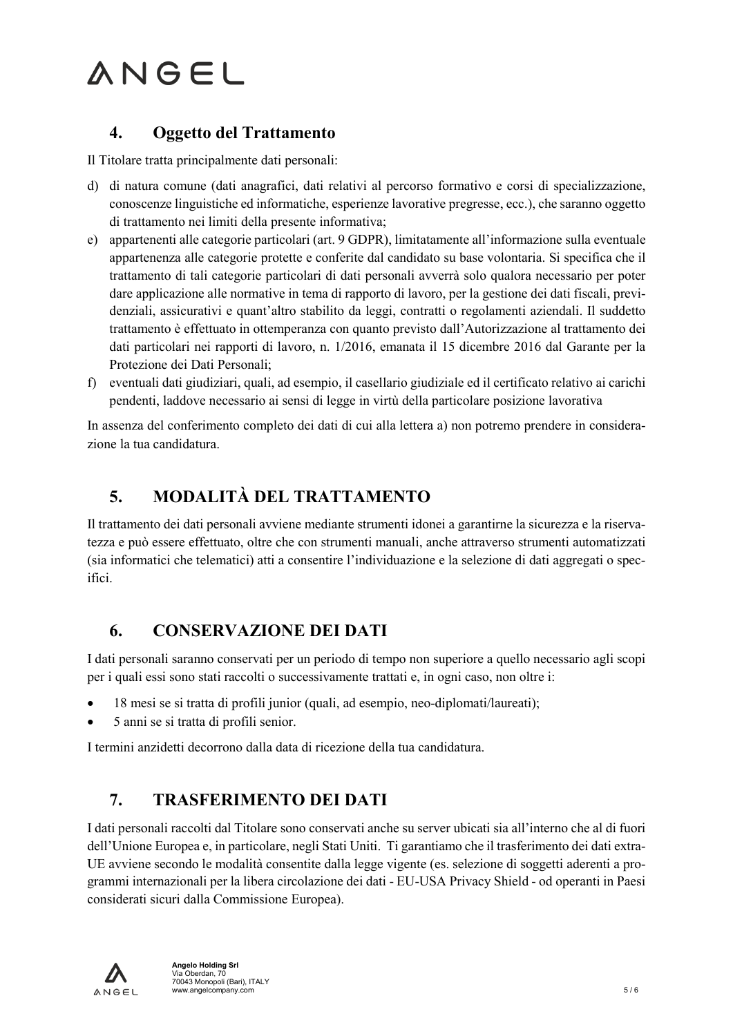### **4. Oggetto del Trattamento**

Il Titolare tratta principalmente dati personali:

- d) di natura comune (dati anagrafici, dati relativi al percorso formativo e corsi di specializzazione, conoscenze linguistiche ed informatiche, esperienze lavorative pregresse, ecc.), che saranno oggetto di trattamento nei limiti della presente informativa;
- e) appartenenti alle categorie particolari (art. 9 GDPR), limitatamente all'informazione sulla eventuale appartenenza alle categorie protette e conferite dal candidato su base volontaria. Si specifica che il trattamento di tali categorie particolari di dati personali avverrà solo qualora necessario per poter dare applicazione alle normative in tema di rapporto di lavoro, per la gestione dei dati fiscali, previdenziali, assicurativi e quant'altro stabilito da leggi, contratti o regolamenti aziendali. Il suddetto trattamento è effettuato in ottemperanza con quanto previsto dall'Autorizzazione al trattamento dei dati particolari nei rapporti di lavoro, n. 1/2016, emanata il 15 dicembre 2016 dal Garante per la Protezione dei Dati Personali;
- f) eventuali dati giudiziari, quali, ad esempio, il casellario giudiziale ed il certificato relativo ai carichi pendenti, laddove necessario ai sensi di legge in virtù della particolare posizione lavorativa

In assenza del conferimento completo dei dati di cui alla lettera a) non potremo prendere in considerazione la tua candidatura.

## **5. MODALITÀ DEL TRATTAMENTO**

Il trattamento dei dati personali avviene mediante strumenti idonei a garantirne la sicurezza e la riservatezza e può essere effettuato, oltre che con strumenti manuali, anche attraverso strumenti automatizzati (sia informatici che telematici) atti a consentire l'individuazione e la selezione di dati aggregati o specifici.

## **6. CONSERVAZIONE DEI DATI**

I dati personali saranno conservati per un periodo di tempo non superiore a quello necessario agli scopi per i quali essi sono stati raccolti o successivamente trattati e, in ogni caso, non oltre i:

- 18 mesi se si tratta di profili junior (quali, ad esempio, neo-diplomati/laureati);
- 5 anni se si tratta di profili senior.

I termini anzidetti decorrono dalla data di ricezione della tua candidatura.

## **7. TRASFERIMENTO DEI DATI**

I dati personali raccolti dal Titolare sono conservati anche su server ubicati sia all'interno che al di fuori dell'Unione Europea e, in particolare, negli Stati Uniti. Ti garantiamo che il trasferimento dei dati extra-UE avviene secondo le modalità consentite dalla legge vigente (es. selezione di soggetti aderenti a programmi internazionali per la libera circolazione dei dati - EU-USA Privacy Shield - od operanti in Paesi considerati sicuri dalla Commissione Europea).